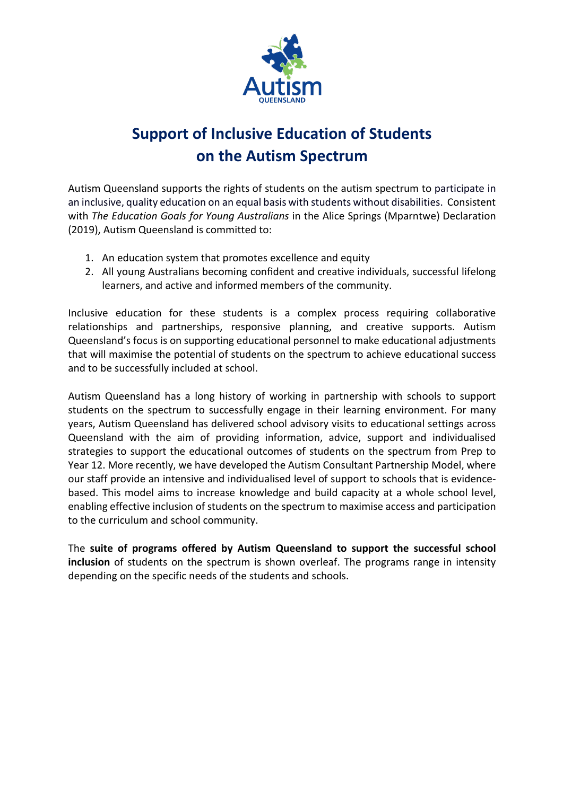

# **Support of Inclusive Education of Students on the Autism Spectrum**

Autism Queensland supports the rights of students on the autism spectrum to participate in an inclusive, quality education on an equal basis with students without disabilities. Consistent with *The Education Goals for Young Australians* in the Alice Springs (Mparntwe) Declaration (2019), Autism Queensland is committed to:

- 1. An education system that promotes excellence and equity
- 2. All young Australians becoming confident and creative individuals, successful lifelong learners, and active and informed members of the community.

Inclusive education for these students is a complex process requiring collaborative relationships and partnerships, responsive planning, and creative supports. Autism Queensland's focus is on supporting educational personnel to make educational adjustments that will maximise the potential of students on the spectrum to achieve educational success and to be successfully included at school.

Autism Queensland has a long history of working in partnership with schools to support students on the spectrum to successfully engage in their learning environment. For many years, Autism Queensland has delivered school advisory visits to educational settings across Queensland with the aim of providing information, advice, support and individualised strategies to support the educational outcomes of students on the spectrum from Prep to Year 12. More recently, we have developed the Autism Consultant Partnership Model, where our staff provide an intensive and individualised level of support to schools that is evidencebased. This model aims to increase knowledge and build capacity at a whole school level, enabling effective inclusion of students on the spectrum to maximise access and participation to the curriculum and school community.

The **suite of programs offered by Autism Queensland to support the successful school inclusion** of students on the spectrum is shown overleaf. The programs range in intensity depending on the specific needs of the students and schools.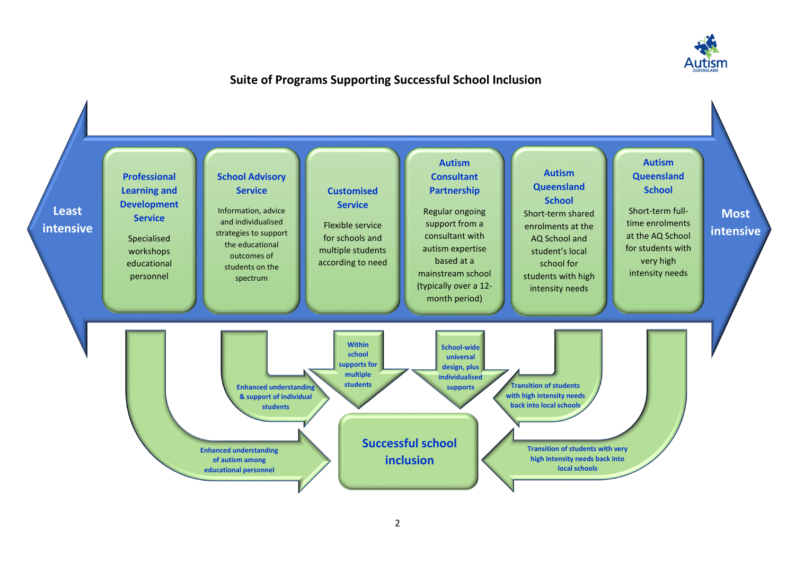

### **Suite of Programs Supporting Successful School Inclusion**

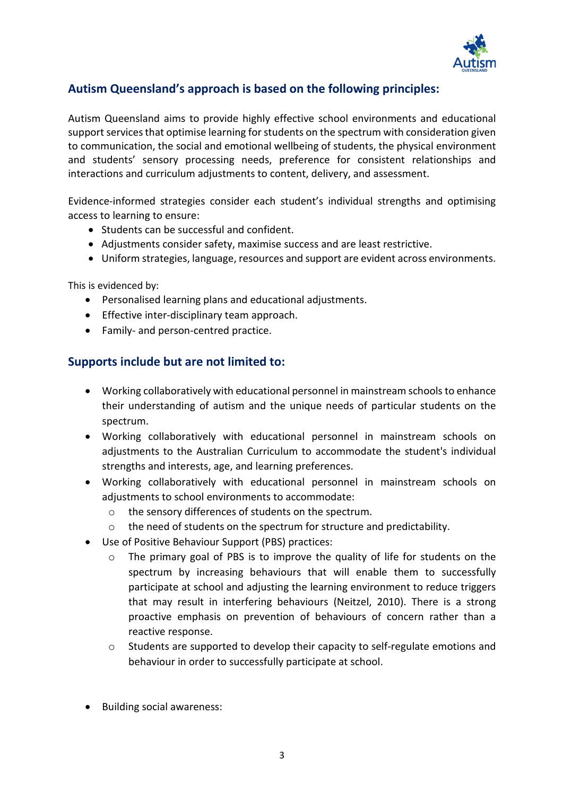

#### **Autism Queensland's approach is based on the following principles:**

Autism Queensland aims to provide highly effective school environments and educational support services that optimise learning for students on the spectrum with consideration given to communication, the social and emotional wellbeing of students, the physical environment and students' sensory processing needs, preference for consistent relationships and interactions and curriculum adjustments to content, delivery, and assessment.

Evidence-informed strategies consider each student's individual strengths and optimising access to learning to ensure:

- Students can be successful and confident.
- Adjustments consider safety, maximise success and are least restrictive.
- Uniform strategies, language, resources and support are evident across environments.

This is evidenced by:

- Personalised learning plans and educational adjustments.
- Effective inter-disciplinary team approach.
- Family- and person-centred practice.

#### **Supports include but are not limited to:**

- Working collaboratively with educational personnel in mainstream schools to enhance their understanding of autism and the unique needs of particular students on the spectrum.
- Working collaboratively with educational personnel in mainstream schools on adjustments to the Australian Curriculum to accommodate the student's individual strengths and interests, age, and learning preferences.
- Working collaboratively with educational personnel in mainstream schools on adjustments to school environments to accommodate:
	- o the sensory differences of students on the spectrum.
	- $\circ$  the need of students on the spectrum for structure and predictability.
- Use of Positive Behaviour Support (PBS) practices:
	- o The primary goal of PBS is to improve the quality of life for students on the spectrum by increasing behaviours that will enable them to successfully participate at school and adjusting the learning environment to reduce triggers that may result in interfering behaviours (Neitzel, 2010). There is a strong proactive emphasis on prevention of behaviours of concern rather than a reactive response.
	- $\circ$  Students are supported to develop their capacity to self-regulate emotions and behaviour in order to successfully participate at school.
- Building social awareness: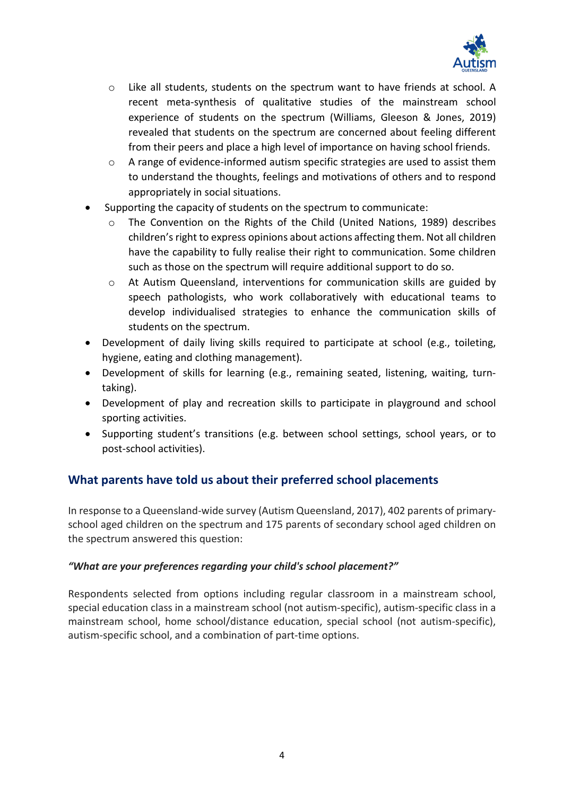

- o Like all students, students on the spectrum want to have friends at school. A recent meta-synthesis of qualitative studies of the mainstream school experience of students on the spectrum (Williams, Gleeson & Jones, 2019) revealed that students on the spectrum are concerned about feeling different from their peers and place a high level of importance on having school friends.
- o A range of evidence-informed autism specific strategies are used to assist them to understand the thoughts, feelings and motivations of others and to respond appropriately in social situations.
- Supporting the capacity of students on the spectrum to communicate:
	- The Convention on the Rights of the Child (United Nations, 1989) describes children's right to express opinions about actions affecting them. Not all children have the capability to fully realise their right to communication. Some children such as those on the spectrum will require additional support to do so.
	- o At Autism Queensland, interventions for communication skills are guided by speech pathologists, who work collaboratively with educational teams to develop individualised strategies to enhance the communication skills of students on the spectrum.
- Development of daily living skills required to participate at school (e.g., toileting, hygiene, eating and clothing management).
- Development of skills for learning (e.g., remaining seated, listening, waiting, turntaking).
- Development of play and recreation skills to participate in playground and school sporting activities.
- Supporting student's transitions (e.g. between school settings, school years, or to post-school activities).

### **What parents have told us about their preferred school placements**

In response to a Queensland-wide survey (Autism Queensland, 2017), 402 parents of primaryschool aged children on the spectrum and 175 parents of secondary school aged children on the spectrum answered this question:

#### *"What are your preferences regarding your child's school placement?"*

Respondents selected from options including regular classroom in a mainstream school, special education class in a mainstream school (not autism-specific), autism-specific class in a mainstream school, home school/distance education, special school (not autism-specific), autism-specific school, and a combination of part-time options.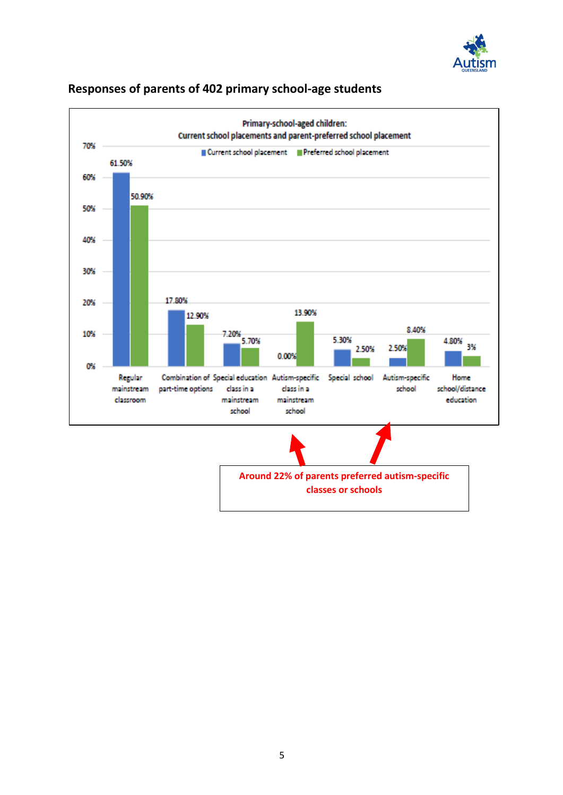



#### **Responses of parents of 402 primary school-age students**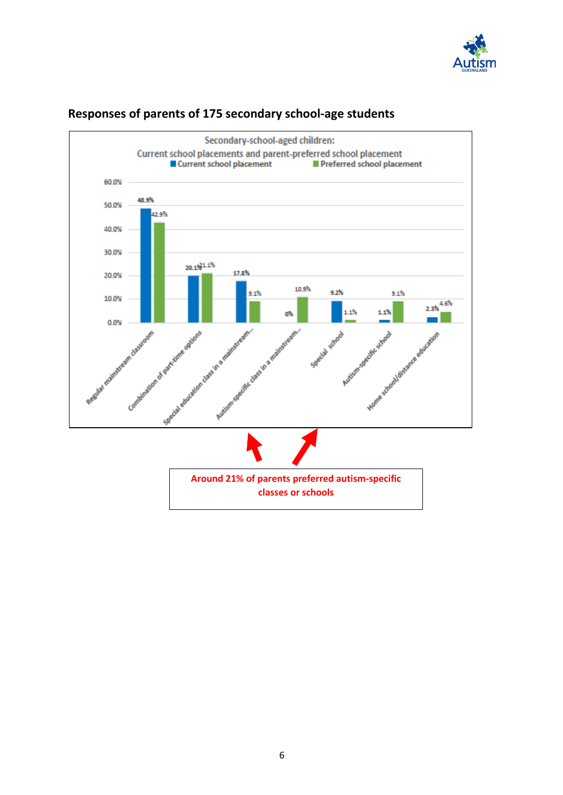



## **Responses of parents of 175 secondary school-age students**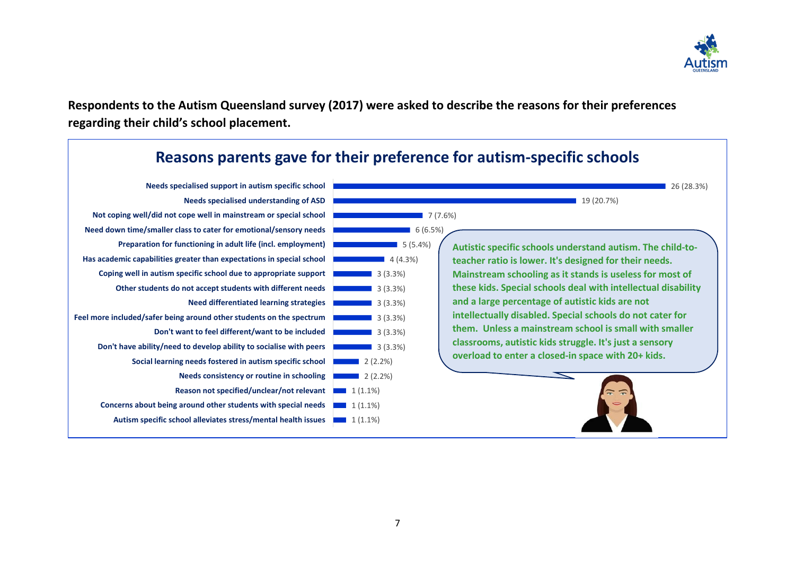

**Respondents to the Autism Queensland survey (2017) were asked to describe the reasons for their preferences regarding their child's school placement.** 

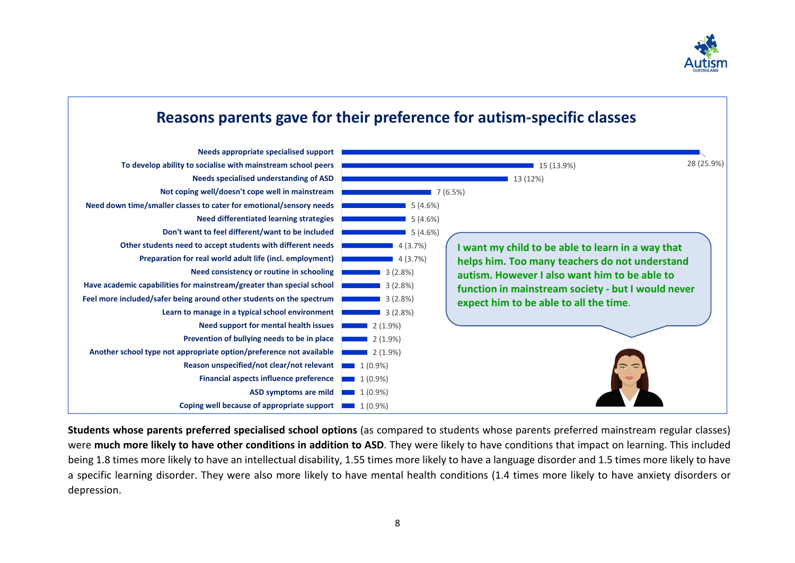

#### **Coping well because of appropriate support 1** (0.9%) **ASD symptoms are mild I I** (0.9%) **Financial aspects influence preference 1** (0.9%) **Reason unspecified/not clear/not relevant** 1 (0.9%)  $\blacksquare$  2 (1.9%)  $2(1.9\%)$  $\blacksquare$  2 (1.9%)  $\blacksquare$  3 (2.8%)  $\blacksquare$  3 (2.8%)  $\blacksquare$  3 (2.8%)  $\blacksquare$  3 (2.8%) 4 (3.7%)  $4(3.7%)$ 5 (4.6%) 5 (4.6%) 5 (4.6%) 7 (6.5%)  $13(12%)$ 15 (13.9%) 28 (25.9%) **Another school type not appropriate option/preference not available Prevention of bullying needs to be in place Need support for mental health issues Learn to manage in a typical school environment Feel more included/safer being around other students on the spectrum Have academic capabilities for mainstream/greater than special school Need consistency or routine in schooling Preparation for real world adult life (incl. employment) Other students need to accept students with different needs Don't want to feel different/want to be included Need differentiated learning strategies Need down time/smaller classes to cater for emotional/sensory needs Not coping well/doesn't cope well in mainstream Needs specialised understanding of ASD To develop ability to socialise with mainstream school peers Needs appropriate specialised support Reasons parents gave for their preference for autism-specific classes I want my child to be able to learn in a way that helps him. Too many teachers do not understand autism. However I also want him to be able to function in mainstream society - but I would never expect him to be able to all the time**.

**Students whose parents preferred specialised school options** (as compared to students whose parents preferred mainstream regular classes) were **much more likely to have other conditions in addition to ASD**. They were likely to have conditions that impact on learning. This included being 1.8 times more likely to have an intellectual disability, 1.55 times more likely to have a language disorder and 1.5 times more likely to have a specific learning disorder. They were also more likely to have mental health conditions (1.4 times more likely to have anxiety disorders or depression.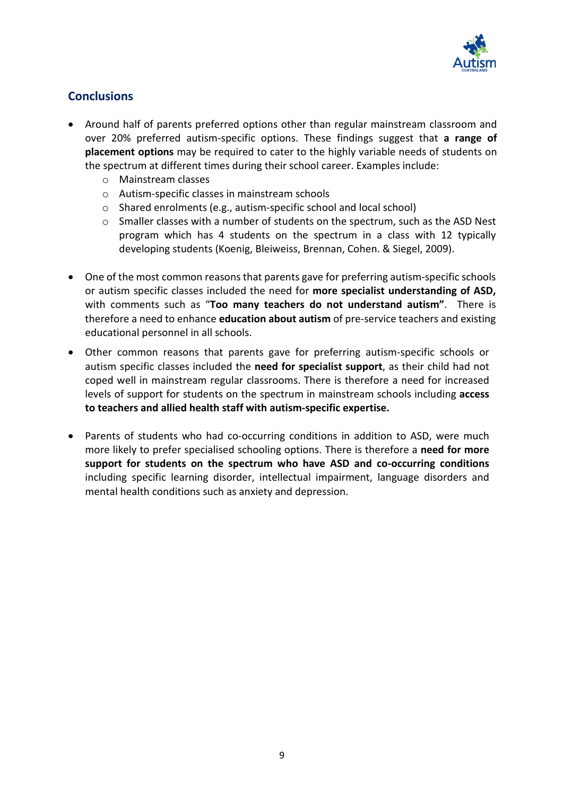

#### **Conclusions**

- Around half of parents preferred options other than regular mainstream classroom and over 20% preferred autism-specific options. These findings suggest that **a range of placement options** may be required to cater to the highly variable needs of students on the spectrum at different times during their school career. Examples include:
	- o Mainstream classes
	- o Autism-specific classes in mainstream schools
	- o Shared enrolments (e.g., autism-specific school and local school)
	- o Smaller classes with a number of students on the spectrum, such as the ASD Nest program which has 4 students on the spectrum in a class with 12 typically developing students (Koenig, Bleiweiss, Brennan, Cohen. & Siegel, 2009).
- One of the most common reasons that parents gave for preferring autism-specific schools or autism specific classes included the need for **more specialist understanding of ASD,**  with comments such as "**Too many teachers do not understand autism"**. There is therefore a need to enhance **education about autism** of pre-service teachers and existing educational personnel in all schools.
- Other common reasons that parents gave for preferring autism-specific schools or autism specific classes included the **need for specialist support**, as their child had not coped well in mainstream regular classrooms. There is therefore a need for increased levels of support for students on the spectrum in mainstream schools including **access to teachers and allied health staff with autism-specific expertise.**
- Parents of students who had co-occurring conditions in addition to ASD, were much more likely to prefer specialised schooling options. There is therefore a **need for more support for students on the spectrum who have ASD and co-occurring conditions** including specific learning disorder, intellectual impairment, language disorders and mental health conditions such as anxiety and depression.